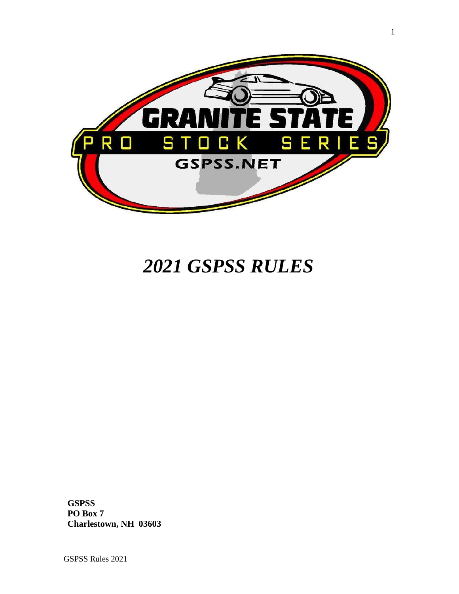

# *2021 GSPSS RULES*

**GSPSS PO Box 7 Charlestown, NH 03603**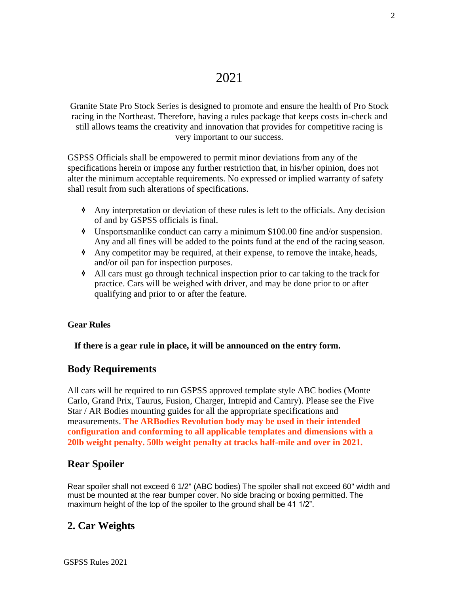# 2021

Granite State Pro Stock Series is designed to promote and ensure the health of Pro Stock racing in the Northeast. Therefore, having a rules package that keeps costs in-check and still allows teams the creativity and innovation that provides for competitive racing is very important to our success.

GSPSS Officials shall be empowered to permit minor deviations from any of the specifications herein or impose any further restriction that, in his/her opinion, does not alter the minimum acceptable requirements. No expressed or implied warranty of safety shall result from such alterations of specifications.

- ❖ Any interpretation or deviation of these rules is left to the officials. Any decision of and by GSPSS officials is final.
- ❖ Unsportsmanlike conduct can carry a minimum \$100.00 fine and/or suspension. Any and all fines will be added to the points fund at the end of the racing season.
- ❖ Any competitor may be required, at their expense, to remove the intake, heads, and/or oil pan for inspection purposes.
- ❖ All cars must go through technical inspection prior to car taking to the track for practice. Cars will be weighed with driver, and may be done prior to or after qualifying and prior to or after the feature.

#### **Gear Rules**

#### **If there is a gear rule in place, it will be announced on the entry form.**

#### **Body Requirements**

All cars will be required to run GSPSS approved template style ABC bodies (Monte Carlo, Grand Prix, Taurus, Fusion, Charger, Intrepid and Camry). Please see the Five Star / AR Bodies mounting guides for all the appropriate specifications and measurements. **The ARBodies Revolution body may be used in their intended configuration and conforming to all applicable templates and dimensions with a 20lb weight penalty. 50lb weight penalty at tracks half-mile and over in 2021.**

#### **Rear Spoiler**

Rear spoiler shall not exceed 6 1/2" (ABC bodies) The spoiler shall not exceed 60" width and must be mounted at the rear bumper cover. No side bracing or boxing permitted. The maximum height of the top of the spoiler to the ground shall be 41 1/2".

#### **2. Car Weights**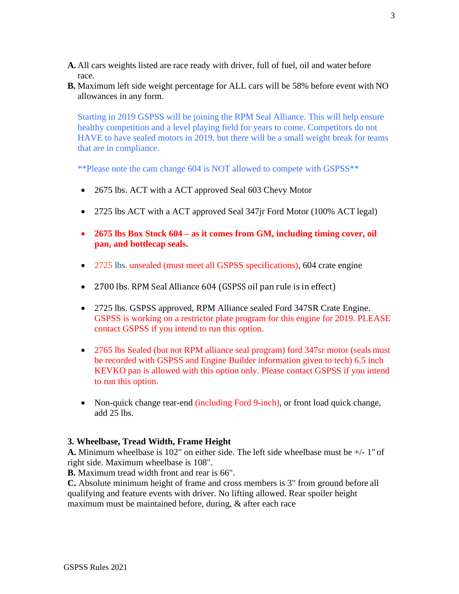- **A.** All cars weights listed are race ready with driver, full of fuel, oil and water before race.
- **B.** Maximum left side weight percentage for ALL cars will be 58% before event with NO allowances in any form.

Starting in 2019 GSPSS will be joining the RPM Seal Alliance. This will help ensure healthy competition and a level playing field for years to come. Competitors do not HAVE to have sealed motors in 2019, but there will be a small weight break for teams that are in compliance.

\*\*Please note the cam change 604 is NOT allowed to compete with GSPSS\*\*

- 2675 lbs. ACT with a ACT approved Seal 603 Chevy Motor
- 2725 lbs ACT with a ACT approved Seal 347 ir Ford Motor (100% ACT legal)
- **2675 lbs Box Stock 604 – as it comes from GM, including timing cover, oil pan, and bottlecap seals.**
- 2725 lbs. unsealed (must meet all GSPSS specifications), 604 crate engine
- 2700 lbs. RPM Seal Alliance 604 (GSPSS oil pan rule is in effect)
- 2725 lbs. GSPSS approved, RPM Alliance sealed Ford 347SR Crate Engine. GSPSS is working on a restrictor plate program for this engine for 2019. PLEASE contact GSPSS if you intend to run this option.
- 2765 lbs Sealed (but not RPM alliance seal program) ford 347sr motor (seals must be recorded with GSPSS and Engine Builder information given to tech) 6.5 inch KEVKO pan is allowed with this option only. Please contact GSPSS if you intend to run this option.
- Non-quick change rear-end (including Ford 9-inch), or front load quick change, add 25 lbs.

#### **3. Wheelbase, Tread Width, Frame Height**

**A.** Minimum wheelbase is 102" on either side. The left side wheelbase must be +/- 1" of right side. Maximum wheelbase is 108".

**B.** Maximum tread width front and rear is 66".

**C.** Absolute minimum height of frame and cross members is 3" from ground before all qualifying and feature events with driver. No lifting allowed. Rear spoiler height maximum must be maintained before, during, & after each race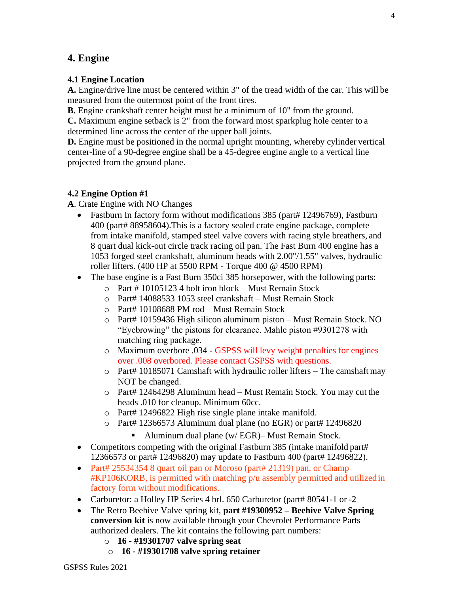## **4. Engine**

#### **4.1 Engine Location**

**A.** Engine/drive line must be centered within 3" of the tread width of the car. This will be measured from the outermost point of the front tires.

**B.** Engine crankshaft center height must be a minimum of 10" from the ground.

**C.** Maximum engine setback is 2" from the forward most sparkplug hole center to a determined line across the center of the upper ball joints.

**D.** Engine must be positioned in the normal upright mounting, whereby cylinder vertical center-line of a 90-degree engine shall be a 45-degree engine angle to a vertical line projected from the ground plane.

## **4.2 Engine Option #1**

**A**. Crate Engine with NO Changes

- Fastburn In factory form without modifications 385 (part# 12496769), Fastburn 400 (part# 88958604).This is a factory sealed crate engine package, complete from intake manifold, stamped steel valve covers with racing style breathers, and 8 quart dual kick-out circle track racing oil pan. The Fast Burn 400 engine has a 1053 forged steel crankshaft, aluminum heads with 2.00"/1.55" valves, hydraulic roller lifters. (400 HP at 5500 RPM - Torque 400 @ 4500 RPM)
- The base engine is a Fast Burn 350ci 385 horsepower, with the following parts:
	- o Part # 10105123 4 bolt iron block Must Remain Stock
	- o Part# 14088533 1053 steel crankshaft Must Remain Stock
	- o Part# 10108688 PM rod Must Remain Stock
	- o Part# 10159436 High silicon aluminum piston Must Remain Stock. NO "Eyebrowing" the pistons for clearance. Mahle piston #9301278 with matching ring package.
	- o Maximum overbore .034 GSPSS will levy weight penalties for engines over .008 overbored. Please contact GSPSS with questions.
	- o Part# 10185071 Camshaft with hydraulic roller lifters The camshaft may NOT be changed.
	- o Part# 12464298 Aluminum head Must Remain Stock. You may cut the heads .010 for cleanup. Minimum 60cc.
	- o Part# 12496822 High rise single plane intake manifold.
	- o Part# 12366573 Aluminum dual plane (no EGR) or part# 12496820
		- Aluminum dual plane (w/ EGR)– Must Remain Stock.
- Competitors competing with the original Fastburn 385 (intake manifold part# 12366573 or part# 12496820) may update to Fastburn 400 (part# 12496822).
- Part# 25534354 8 quart oil pan or Moroso (part# 21319) pan, or Champ #KP106KORB, is permitted with matching p/u assembly permitted and utilized in factory form without modifications.
- Carburetor: a Holley HP Series 4 brl. 650 Carburetor (part# 80541-1 or -2
- The Retro Beehive Valve spring kit, **part #19300952 – Beehive Valve Spring conversion kit** is now available through your Chevrolet Performance Parts authorized dealers. The kit contains the following part numbers:
	- o **16 - #19301707 valve spring seat**
	- o **16 - #19301708 valve spring retainer**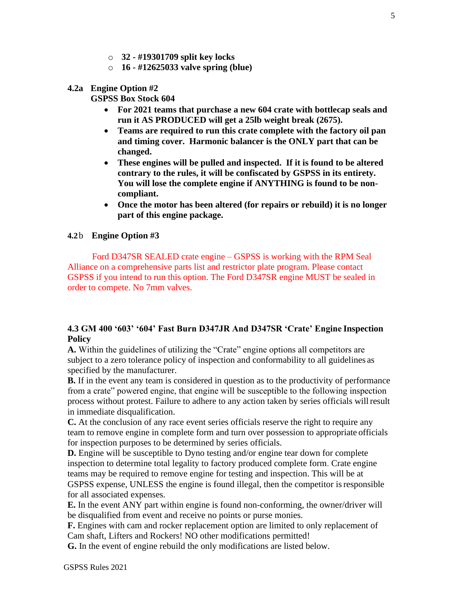- o **32 - #19301709 split key locks**
- o **16 - #12625033 valve spring (blue)**

#### **4.2a Engine Option #2**

**GSPSS Box Stock 604**

- **For 2021 teams that purchase a new 604 crate with bottlecap seals and run it AS PRODUCED will get a 25lb weight break (2675).**
- **Teams are required to run this crate complete with the factory oil pan and timing cover. Harmonic balancer is the ONLY part that can be changed.**
- **These engines will be pulled and inspected. If it is found to be altered contrary to the rules, it will be confiscated by GSPSS in its entirety. You will lose the complete engine if ANYTHING is found to be noncompliant.**
- **Once the motor has been altered (for repairs or rebuild) it is no longer part of this engine package.**

#### **4.2**b **Engine Option #3**

Ford D347SR SEALED crate engine – GSPSS is working with the RPM Seal Alliance on a comprehensive parts list and restrictor plate program. Please contact GSPSS if you intend to run this option. The Ford D347SR engine MUST be sealed in order to compete. No 7mm valves.

#### **4.3 GM 400 '603' '604' Fast Burn D347JR And D347SR 'Crate' Engine Inspection Policy**

**A.** Within the guidelines of utilizing the "Crate" engine options all competitors are subject to a zero tolerance policy of inspection and conformability to all guidelines as specified by the manufacturer.

**B.** If in the event any team is considered in question as to the productivity of performance from a crate" powered engine, that engine will be susceptible to the following inspection process without protest. Failure to adhere to any action taken by series officials willresult in immediate disqualification.

**C.** At the conclusion of any race event series officials reserve the right to require any team to remove engine in complete form and turn over possession to appropriate officials for inspection purposes to be determined by series officials.

**D.** Engine will be susceptible to Dyno testing and/or engine tear down for complete inspection to determine total legality to factory produced complete form. Crate engine teams may be required to remove engine for testing and inspection. This will be at GSPSS expense, UNLESS the engine is found illegal, then the competitor isresponsible for all associated expenses.

**E.** In the event ANY part within engine is found non-conforming, the owner/driver will be disqualified from event and receive no points or purse monies.

**F.** Engines with cam and rocker replacement option are limited to only replacement of Cam shaft, Lifters and Rockers! NO other modifications permitted!

**G.** In the event of engine rebuild the only modifications are listed below.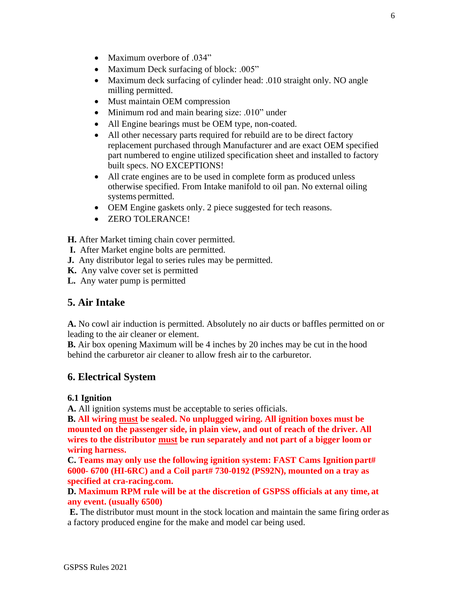- Maximum overbore of .034"
- Maximum Deck surfacing of block: .005"
- Maximum deck surfacing of cylinder head: .010 straight only. NO angle milling permitted.
- Must maintain OEM compression
- Minimum rod and main bearing size: .010" under
- All Engine bearings must be OEM type, non-coated.
- All other necessary parts required for rebuild are to be direct factory replacement purchased through Manufacturer and are exact OEM specified part numbered to engine utilized specification sheet and installed to factory built specs. NO EXCEPTIONS!
- All crate engines are to be used in complete form as produced unless otherwise specified. From Intake manifold to oil pan. No external oiling systems permitted.
- OEM Engine gaskets only. 2 piece suggested for tech reasons.
- ZERO TOLERANCE!

**H.** After Market timing chain cover permitted.

- **I.** After Market engine bolts are permitted.
- **J.** Any distributor legal to series rules may be permitted.
- **K.** Any valve cover set is permitted
- **L.** Any water pump is permitted

## **5. Air Intake**

**A.** No cowl air induction is permitted. Absolutely no air ducts or baffles permitted on or leading to the air cleaner or element.

**B.** Air box opening Maximum will be 4 inches by 20 inches may be cut in the hood behind the carburetor air cleaner to allow fresh air to the carburetor.

## **6. Electrical System**

#### **6.1 Ignition**

**A.** All ignition systems must be acceptable to series officials.

**B. All wiring must be sealed. No unplugged wiring. All ignition boxes must be mounted on the passenger side, in plain view, and out of reach of the driver. All wires to the distributor must be run separately and not part of a bigger loom or wiring harness.**

**C. Teams may only use the following ignition system: FAST Cams Ignition part# 6000- 6700 (HI-6RC) and a Coil part# 730-0192 (PS92N), mounted on a tray as specified at cra-racing.com.**

**D. Maximum RPM rule will be at the discretion of GSPSS officials at any time, at any event. (usually 6500)**

**E.** The distributor must mount in the stock location and maintain the same firing order as a factory produced engine for the make and model car being used.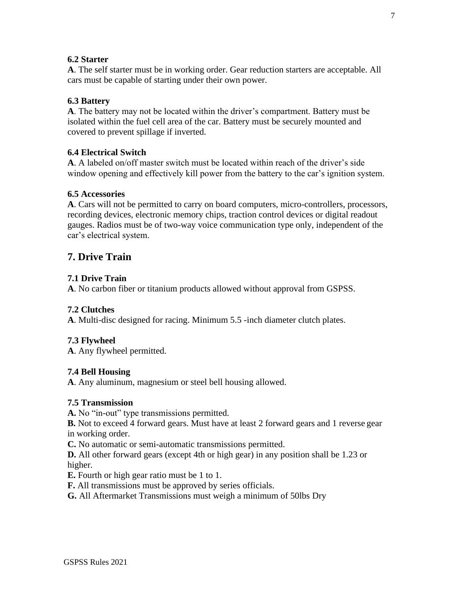#### **6.2 Starter**

**A**. The self starter must be in working order. Gear reduction starters are acceptable. All cars must be capable of starting under their own power.

#### **6.3 Battery**

**A**. The battery may not be located within the driver's compartment. Battery must be isolated within the fuel cell area of the car. Battery must be securely mounted and covered to prevent spillage if inverted.

#### **6.4 Electrical Switch**

**A**. A labeled on/off master switch must be located within reach of the driver's side window opening and effectively kill power from the battery to the car's ignition system.

#### **6.5 Accessories**

**A**. Cars will not be permitted to carry on board computers, micro-controllers, processors, recording devices, electronic memory chips, traction control devices or digital readout gauges. Radios must be of two-way voice communication type only, independent of the car's electrical system.

# **7. Drive Train**

#### **7.1 Drive Train**

**A**. No carbon fiber or titanium products allowed without approval from GSPSS.

#### **7.2 Clutches**

**A**. Multi-disc designed for racing. Minimum 5.5 -inch diameter clutch plates.

#### **7.3 Flywheel**

**A**. Any flywheel permitted.

#### **7.4 Bell Housing**

**A**. Any aluminum, magnesium or steel bell housing allowed.

#### **7.5 Transmission**

**A.** No "in-out" type transmissions permitted.

**B.** Not to exceed 4 forward gears. Must have at least 2 forward gears and 1 reverse gear in working order.

**C.** No automatic or semi-automatic transmissions permitted.

**D.** All other forward gears (except 4th or high gear) in any position shall be 1.23 or higher.

**E.** Fourth or high gear ratio must be 1 to 1.

**F.** All transmissions must be approved by series officials.

**G.** All Aftermarket Transmissions must weigh a minimum of 50lbs Dry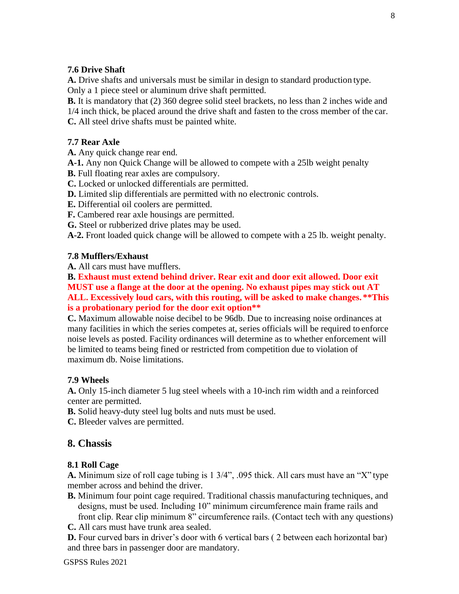#### **7.6 Drive Shaft**

**A.** Drive shafts and universals must be similar in design to standard production type. Only a 1 piece steel or aluminum drive shaft permitted.

**B.** It is mandatory that (2) 360 degree solid steel brackets, no less than 2 inches wide and 1/4 inch thick, be placed around the drive shaft and fasten to the cross member of the car. **C.** All steel drive shafts must be painted white.

#### **7.7 Rear Axle**

**A.** Any quick change rear end.

**A-1.** Any non Quick Change will be allowed to compete with a 25lb weight penalty

- **B.** Full floating rear axles are compulsory.
- **C.** Locked or unlocked differentials are permitted.
- **D.** Limited slip differentials are permitted with no electronic controls.

**E.** Differential oil coolers are permitted.

- **F.** Cambered rear axle housings are permitted.
- **G.** Steel or rubberized drive plates may be used.

**A-2.** Front loaded quick change will be allowed to compete with a 25 lb. weight penalty.

## **7.8 Mufflers/Exhaust**

**A.** All cars must have mufflers.

**B. Exhaust must extend behind driver. Rear exit and door exit allowed. Door exit MUST use a flange at the door at the opening. No exhaust pipes may stick out AT ALL. Excessively loud cars, with this routing, will be asked to make changes. \*\*This is a probationary period for the door exit option\*\***

**C.** Maximum allowable noise decibel to be 96db. Due to increasing noise ordinances at many facilities in which the series competes at, series officials will be required to enforce noise levels as posted. Facility ordinances will determine as to whether enforcement will be limited to teams being fined or restricted from competition due to violation of maximum db. Noise limitations.

## **7.9 Wheels**

**A.** Only 15-inch diameter 5 lug steel wheels with a 10-inch rim width and a reinforced center are permitted.

**B.** Solid heavy-duty steel lug bolts and nuts must be used.

**C.** Bleeder valves are permitted.

# **8. Chassis**

## **8.1 Roll Cage**

**A.** Minimum size of roll cage tubing is 1 3/4", .095 thick. All cars must have an "X" type member across and behind the driver.

- **B.** Minimum four point cage required. Traditional chassis manufacturing techniques, and designs, must be used. Including 10" minimum circumference main frame rails and front clip. Rear clip minimum 8" circumference rails. (Contact tech with any questions)
- **C.** All cars must have trunk area sealed.

**D.** Four curved bars in driver's door with 6 vertical bars (2 between each horizontal bar) and three bars in passenger door are mandatory.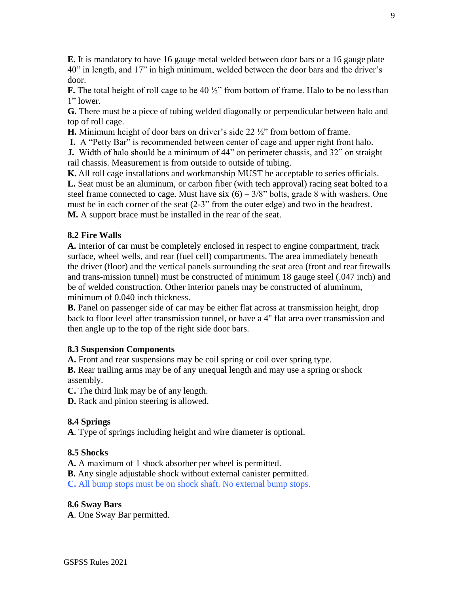**E.** It is mandatory to have 16 gauge metal welded between door bars or a 16 gauge plate 40" in length, and 17" in high minimum, welded between the door bars and the driver's door.

**F.** The total height of roll cage to be 40  $\frac{1}{2}$ " from bottom of frame. Halo to be no less than 1" lower.

**G.** There must be a piece of tubing welded diagonally or perpendicular between halo and top of roll cage.

**H.** Minimum height of door bars on driver's side 22 ½" from bottom of frame.

**I.** A "Petty Bar" is recommended between center of cage and upper right front halo.

**J.** Width of halo should be a minimum of 44" on perimeter chassis, and 32" on straight rail chassis. Measurement is from outside to outside of tubing.

**K.** All roll cage installations and workmanship MUST be acceptable to series officials. **L.** Seat must be an aluminum, or carbon fiber (with tech approval) racing seat bolted to a steel frame connected to cage. Must have six  $(6) - 3/8$ " bolts, grade 8 with washers. One must be in each corner of the seat (2-3" from the outer edge) and two in the headrest. **M.** A support brace must be installed in the rear of the seat.

#### **8.2 Fire Walls**

**A.** Interior of car must be completely enclosed in respect to engine compartment, track surface, wheel wells, and rear (fuel cell) compartments. The area immediately beneath the driver (floor) and the vertical panels surrounding the seat area (front and rearfirewalls and trans-mission tunnel) must be constructed of minimum 18 gauge steel (.047 inch) and be of welded construction. Other interior panels may be constructed of aluminum, minimum of 0.040 inch thickness.

**B.** Panel on passenger side of car may be either flat across at transmission height, drop back to floor level after transmission tunnel, or have a 4" flat area over transmission and then angle up to the top of the right side door bars.

#### **8.3 Suspension Components**

**A.** Front and rear suspensions may be coil spring or coil over spring type.

**B.** Rear trailing arms may be of any unequal length and may use a spring or shock assembly.

**C.** The third link may be of any length.

**D.** Rack and pinion steering is allowed.

#### **8.4 Springs**

**A**. Type of springs including height and wire diameter is optional.

#### **8.5 Shocks**

**A.** A maximum of 1 shock absorber per wheel is permitted.

**B.** Any single adjustable shock without external canister permitted.

**C.** All bump stops must be on shock shaft. No external bump stops.

#### **8.6 Sway Bars**

**A**. One Sway Bar permitted.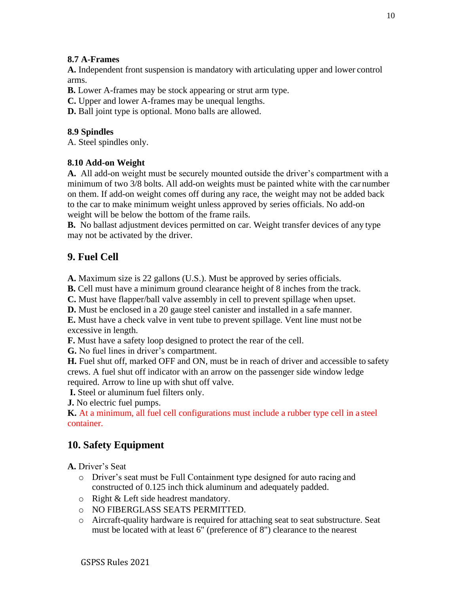## **8.7 A-Frames**

**A.** Independent front suspension is mandatory with articulating upper and lower control arms.

**B.** Lower A-frames may be stock appearing or strut arm type.

**C.** Upper and lower A-frames may be unequal lengths.

**D.** Ball joint type is optional. Mono balls are allowed.

## **8.9 Spindles**

A. Steel spindles only.

## **8.10 Add-on Weight**

**A.** All add-on weight must be securely mounted outside the driver's compartment with a minimum of two 3/8 bolts. All add-on weights must be painted white with the car number on them. If add-on weight comes off during any race, the weight may not be added back to the car to make minimum weight unless approved by series officials. No add-on weight will be below the bottom of the frame rails.

**B.** No ballast adjustment devices permitted on car. Weight transfer devices of any type may not be activated by the driver.

# **9. Fuel Cell**

**A.** Maximum size is 22 gallons (U.S.). Must be approved by series officials.

**B.** Cell must have a minimum ground clearance height of 8 inches from the track.

**C.** Must have flapper/ball valve assembly in cell to prevent spillage when upset.

**D.** Must be enclosed in a 20 gauge steel canister and installed in a safe manner.

**E.** Must have a check valve in vent tube to prevent spillage. Vent line must not be excessive in length.

**F.** Must have a safety loop designed to protect the rear of the cell.

**G.** No fuel lines in driver's compartment.

**H.** Fuel shut off, marked OFF and ON, must be in reach of driver and accessible to safety crews. A fuel shut off indicator with an arrow on the passenger side window ledge required. Arrow to line up with shut off valve.

**I.** Steel or aluminum fuel filters only.

**J.** No electric fuel pumps.

**K.** At a minimum, all fuel cell configurations must include a rubber type cell in a steel container.

# **10. Safety Equipment**

**A.** Driver's Seat

- o Driver's seat must be Full Containment type designed for auto racing and constructed of 0.125 inch thick aluminum and adequately padded.
- o Right & Left side headrest mandatory.
- o NO FIBERGLASS SEATS PERMITTED.
- o Aircraft-quality hardware is required for attaching seat to seat substructure. Seat must be located with at least 6" (preference of 8") clearance to the nearest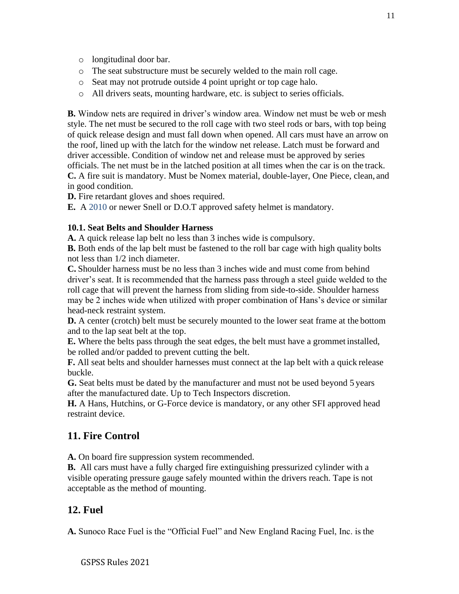- o longitudinal door bar.
- o The seat substructure must be securely welded to the main roll cage.
- o Seat may not protrude outside 4 point upright or top cage halo.
- o All drivers seats, mounting hardware, etc. is subject to series officials.

**B.** Window nets are required in driver's window area. Window net must be web or mesh style. The net must be secured to the roll cage with two steel rods or bars, with top being of quick release design and must fall down when opened. All cars must have an arrow on the roof, lined up with the latch for the window net release. Latch must be forward and driver accessible. Condition of window net and release must be approved by series officials. The net must be in the latched position at all times when the car is on the track. **C.** A fire suit is mandatory. Must be Nomex material, double-layer, One Piece, clean, and in good condition.

**D.** Fire retardant gloves and shoes required.

**E.** A 2010 or newer Snell or D.O.T approved safety helmet is mandatory.

#### **10.1. Seat Belts and Shoulder Harness**

**A.** A quick release lap belt no less than 3 inches wide is compulsory.

**B.** Both ends of the lap belt must be fastened to the roll bar cage with high quality bolts not less than 1/2 inch diameter.

**C.** Shoulder harness must be no less than 3 inches wide and must come from behind driver's seat. It is recommended that the harness pass through a steel guide welded to the roll cage that will prevent the harness from sliding from side-to-side. Shoulder harness may be 2 inches wide when utilized with proper combination of Hans's device or similar head-neck restraint system.

**D.** A center (crotch) belt must be securely mounted to the lower seat frame at the bottom and to the lap seat belt at the top.

**E.** Where the belts pass through the seat edges, the belt must have a grommet installed, be rolled and/or padded to prevent cutting the belt.

**F.** All seat belts and shoulder harnesses must connect at the lap belt with a quick release buckle.

**G.** Seat belts must be dated by the manufacturer and must not be used beyond 5 years after the manufactured date. Up to Tech Inspectors discretion.

**H.** A Hans, Hutchins, or G-Force device is mandatory, or any other SFI approved head restraint device.

## **11. Fire Control**

**A.** On board fire suppression system recommended.

**B.** All cars must have a fully charged fire extinguishing pressurized cylinder with a visible operating pressure gauge safely mounted within the drivers reach. Tape is not acceptable as the method of mounting.

#### **12. Fuel**

**A.** Sunoco Race Fuel is the "Official Fuel" and New England Racing Fuel, Inc. is the

#### GSPSS Rules 2021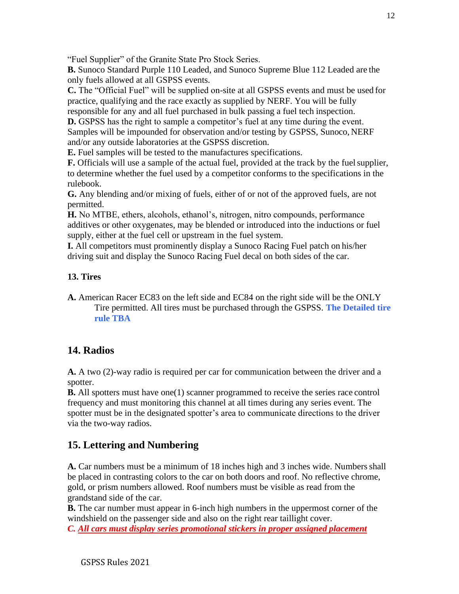"Fuel Supplier" of the Granite State Pro Stock Series.

**B.** Sunoco Standard Purple 110 Leaded, and Sunoco Supreme Blue 112 Leaded are the only fuels allowed at all GSPSS events.

**C.** The "Official Fuel" will be supplied on-site at all GSPSS events and must be used for practice, qualifying and the race exactly as supplied by NERF. You will be fully responsible for any and all fuel purchased in bulk passing a fuel tech inspection.

**D.** GSPSS has the right to sample a competitor's fuel at any time during the event. Samples will be impounded for observation and/or testing by GSPSS, Sunoco, NERF and/or any outside laboratories at the GSPSS discretion.

**E.** Fuel samples will be tested to the manufactures specifications.

**F.** Officials will use a sample of the actual fuel, provided at the track by the fuelsupplier, to determine whether the fuel used by a competitor conforms to the specifications in the rulebook.

**G.** Any blending and/or mixing of fuels, either of or not of the approved fuels, are not permitted.

**H.** No MTBE, ethers, alcohols, ethanol's, nitrogen, nitro compounds, performance additives or other oxygenates, may be blended or introduced into the inductions or fuel supply, either at the fuel cell or upstream in the fuel system.

**I.** All competitors must prominently display a Sunoco Racing Fuel patch on his/her driving suit and display the Sunoco Racing Fuel decal on both sides of the car.

## **13. Tires**

**A.** American Racer EC83 on the left side and EC84 on the right side will be the ONLY Tire permitted. All tires must be purchased through the GSPSS. **The Detailed tire rule TBA**

# **14. Radios**

**A.** A two (2)-way radio is required per car for communication between the driver and a spotter.

**B.** All spotters must have one(1) scanner programmed to receive the series race control frequency and must monitoring this channel at all times during any series event. The spotter must be in the designated spotter's area to communicate directions to the driver via the two-way radios.

# **15. Lettering and Numbering**

**A.** Car numbers must be a minimum of 18 inches high and 3 inches wide. Numbersshall be placed in contrasting colors to the car on both doors and roof. No reflective chrome, gold, or prism numbers allowed. Roof numbers must be visible as read from the grandstand side of the car.

**B.** The car number must appear in 6-inch high numbers in the uppermost corner of the windshield on the passenger side and also on the right rear taillight cover.

*C. All cars must display series promotional stickers in proper assigned placement*